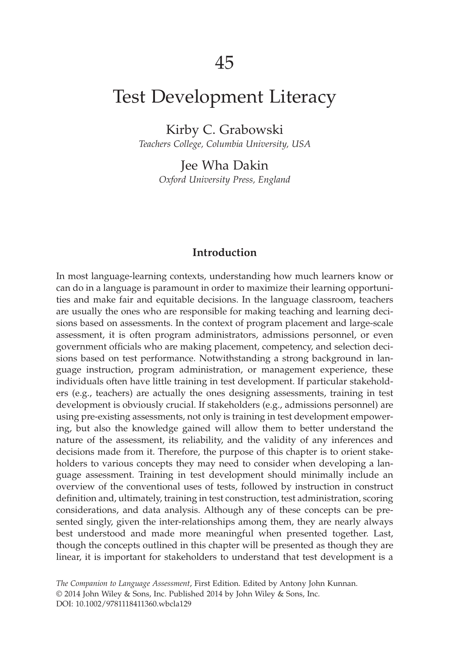# Test Development Literacy

Kirby C. Grabowski

*Teachers College, Columbia University, USA*

Jee Wha Dakin *Oxford University Press, England*

# **Introduction**

In most language-learning contexts, understanding how much learners know or can do in a language is paramount in order to maximize their learning opportunities and make fair and equitable decisions. In the language classroom, teachers are usually the ones who are responsible for making teaching and learning decisions based on assessments. In the context of program placement and large-scale assessment, it is often program administrators, admissions personnel, or even government officials who are making placement, competency, and selection decisions based on test performance. Notwithstanding a strong background in language instruction, program administration, or management experience, these individuals often have little training in test development. If particular stakeholders (e.g., teachers) are actually the ones designing assessments, training in test development is obviously crucial. If stakeholders (e.g., admissions personnel) are using pre-existing assessments, not only is training in test development empowering, but also the knowledge gained will allow them to better understand the nature of the assessment, its reliability, and the validity of any inferences and decisions made from it. Therefore, the purpose of this chapter is to orient stakeholders to various concepts they may need to consider when developing a language assessment. Training in test development should minimally include an overview of the conventional uses of tests, followed by instruction in construct definition and, ultimately, training in test construction, test administration, scoring considerations, and data analysis. Although any of these concepts can be presented singly, given the inter-relationships among them, they are nearly always best understood and made more meaningful when presented together. Last, though the concepts outlined in this chapter will be presented as though they are linear, it is important for stakeholders to understand that test development is a

*The Companion to Language Assessment*, First Edition. Edited by Antony John Kunnan. © 2014 John Wiley & Sons, Inc. Published 2014 by John Wiley & Sons, Inc. DOI: 10.1002/9781118411360.wbcla129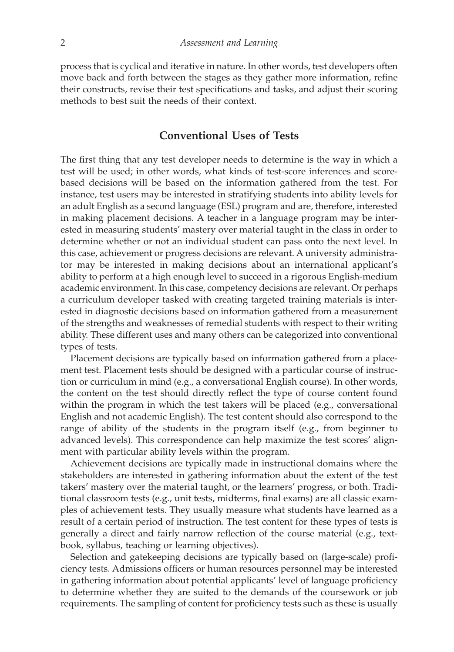process that is cyclical and iterative in nature. In other words, test developers often move back and forth between the stages as they gather more information, refine their constructs, revise their test specifications and tasks, and adjust their scoring methods to best suit the needs of their context.

# **Conventional Uses of Tests**

The first thing that any test developer needs to determine is the way in which a test will be used; in other words, what kinds of test-score inferences and scorebased decisions will be based on the information gathered from the test. For instance, test users may be interested in stratifying students into ability levels for an adult English as a second language (ESL) program and are, therefore, interested in making placement decisions. A teacher in a language program may be interested in measuring students' mastery over material taught in the class in order to determine whether or not an individual student can pass onto the next level. In this case, achievement or progress decisions are relevant. A university administrator may be interested in making decisions about an international applicant's ability to perform at a high enough level to succeed in a rigorous English-medium academic environment. In this case, competency decisions are relevant. Or perhaps a curriculum developer tasked with creating targeted training materials is interested in diagnostic decisions based on information gathered from a measurement of the strengths and weaknesses of remedial students with respect to their writing ability. These different uses and many others can be categorized into conventional types of tests.

Placement decisions are typically based on information gathered from a placement test. Placement tests should be designed with a particular course of instruction or curriculum in mind (e.g., a conversational English course). In other words, the content on the test should directly reflect the type of course content found within the program in which the test takers will be placed (e.g., conversational English and not academic English). The test content should also correspond to the range of ability of the students in the program itself (e.g., from beginner to advanced levels). This correspondence can help maximize the test scores' alignment with particular ability levels within the program.

Achievement decisions are typically made in instructional domains where the stakeholders are interested in gathering information about the extent of the test takers' mastery over the material taught, or the learners' progress, or both. Traditional classroom tests (e.g., unit tests, midterms, final exams) are all classic examples of achievement tests. They usually measure what students have learned as a result of a certain period of instruction. The test content for these types of tests is generally a direct and fairly narrow reflection of the course material (e.g., textbook, syllabus, teaching or learning objectives).

Selection and gatekeeping decisions are typically based on (large-scale) proficiency tests. Admissions officers or human resources personnel may be interested in gathering information about potential applicants' level of language proficiency to determine whether they are suited to the demands of the coursework or job requirements. The sampling of content for proficiency tests such as these is usually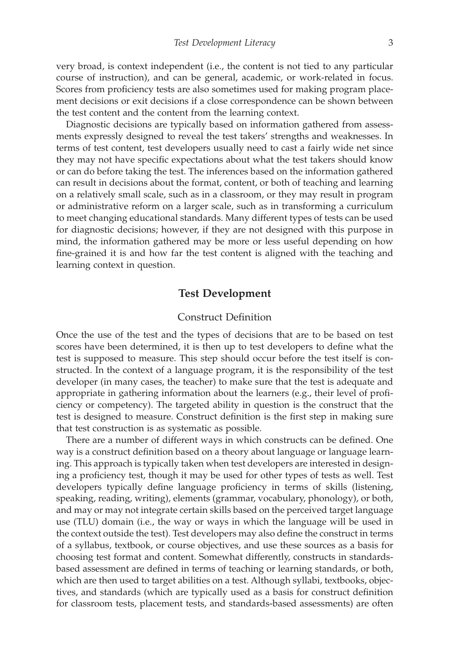very broad, is context independent (i.e., the content is not tied to any particular course of instruction), and can be general, academic, or work-related in focus. Scores from proficiency tests are also sometimes used for making program placement decisions or exit decisions if a close correspondence can be shown between the test content and the content from the learning context.

Diagnostic decisions are typically based on information gathered from assessments expressly designed to reveal the test takers' strengths and weaknesses. In terms of test content, test developers usually need to cast a fairly wide net since they may not have specific expectations about what the test takers should know or can do before taking the test. The inferences based on the information gathered can result in decisions about the format, content, or both of teaching and learning on a relatively small scale, such as in a classroom, or they may result in program or administrative reform on a larger scale, such as in transforming a curriculum to meet changing educational standards. Many different types of tests can be used for diagnostic decisions; however, if they are not designed with this purpose in mind, the information gathered may be more or less useful depending on how fine-grained it is and how far the test content is aligned with the teaching and learning context in question.

# **Test Development**

# Construct Definition

Once the use of the test and the types of decisions that are to be based on test scores have been determined, it is then up to test developers to define what the test is supposed to measure. This step should occur before the test itself is constructed. In the context of a language program, it is the responsibility of the test developer (in many cases, the teacher) to make sure that the test is adequate and appropriate in gathering information about the learners (e.g., their level of proficiency or competency). The targeted ability in question is the construct that the test is designed to measure. Construct definition is the first step in making sure that test construction is as systematic as possible.

There are a number of different ways in which constructs can be defined. One way is a construct definition based on a theory about language or language learning. This approach is typically taken when test developers are interested in designing a proficiency test, though it may be used for other types of tests as well. Test developers typically define language proficiency in terms of skills (listening, speaking, reading, writing), elements (grammar, vocabulary, phonology), or both, and may or may not integrate certain skills based on the perceived target language use (TLU) domain (i.e., the way or ways in which the language will be used in the context outside the test). Test developers may also define the construct in terms of a syllabus, textbook, or course objectives, and use these sources as a basis for choosing test format and content. Somewhat differently, constructs in standardsbased assessment are defined in terms of teaching or learning standards, or both, which are then used to target abilities on a test. Although syllabi, textbooks, objectives, and standards (which are typically used as a basis for construct definition for classroom tests, placement tests, and standards-based assessments) are often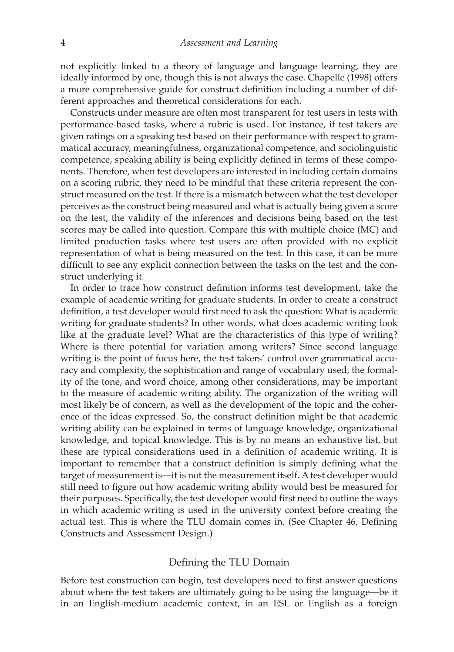not explicitly linked to a theory of language and language learning, they are ideally informed by one, though this is not always the case. Chapelle (1998) offers a more comprehensive guide for construct definition including a number of different approaches and theoretical considerations for each.

Constructs under measure are often most transparent for test users in tests with performance-based tasks, where a rubric is used. For instance, if test takers are given ratings on a speaking test based on their performance with respect to grammatical accuracy, meaningfulness, organizational competence, and sociolinguistic competence, speaking ability is being explicitly defined in terms of these components. Therefore, when test developers are interested in including certain domains on a scoring rubric, they need to be mindful that these criteria represent the construct measured on the test. If there is a mismatch between what the test developer perceives as the construct being measured and what is actually being given a score on the test, the validity of the inferences and decisions being based on the test scores may be called into question. Compare this with multiple choice (MC) and limited production tasks where test users are often provided with no explicit representation of what is being measured on the test. In this case, it can be more difficult to see any explicit connection between the tasks on the test and the construct underlying it.

In order to trace how construct definition informs test development, take the example of academic writing for graduate students. In order to create a construct definition, a test developer would first need to ask the question: What is academic writing for graduate students? In other words, what does academic writing look like at the graduate level? What are the characteristics of this type of writing? Where is there potential for variation among writers? Since second language writing is the point of focus here, the test takers' control over grammatical accuracy and complexity, the sophistication and range of vocabulary used, the formality of the tone, and word choice, among other considerations, may be important to the measure of academic writing ability. The organization of the writing will most likely be of concern, as well as the development of the topic and the coherence of the ideas expressed. So, the construct definition might be that academic writing ability can be explained in terms of language knowledge, organizational knowledge, and topical knowledge. This is by no means an exhaustive list, but these are typical considerations used in a definition of academic writing. It is important to remember that a construct definition is simply defining what the target of measurement is—it is not the measurement itself. A test developer would still need to figure out how academic writing ability would best be measured for their purposes. Specifically, the test developer would first need to outline the ways in which academic writing is used in the university context before creating the actual test. This is where the TLU domain comes in. (See Chapter 46, Defining Constructs and Assessment Design.)

# Defining the TLU Domain

Before test construction can begin, test developers need to first answer questions about where the test takers are ultimately going to be using the language—be it in an English-medium academic context, in an ESL or English as a foreign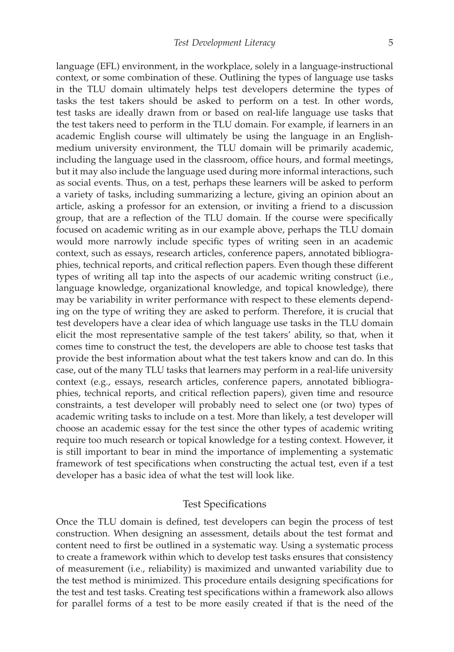language (EFL) environment, in the workplace, solely in a language-instructional context, or some combination of these. Outlining the types of language use tasks in the TLU domain ultimately helps test developers determine the types of tasks the test takers should be asked to perform on a test. In other words, test tasks are ideally drawn from or based on real-life language use tasks that the test takers need to perform in the TLU domain. For example, if learners in an academic English course will ultimately be using the language in an Englishmedium university environment, the TLU domain will be primarily academic, including the language used in the classroom, office hours, and formal meetings, but it may also include the language used during more informal interactions, such as social events. Thus, on a test, perhaps these learners will be asked to perform a variety of tasks, including summarizing a lecture, giving an opinion about an article, asking a professor for an extension, or inviting a friend to a discussion group, that are a reflection of the TLU domain. If the course were specifically focused on academic writing as in our example above, perhaps the TLU domain would more narrowly include specific types of writing seen in an academic context, such as essays, research articles, conference papers, annotated bibliographies, technical reports, and critical reflection papers. Even though these different types of writing all tap into the aspects of our academic writing construct (i.e., language knowledge, organizational knowledge, and topical knowledge), there may be variability in writer performance with respect to these elements depend-

ing on the type of writing they are asked to perform. Therefore, it is crucial that test developers have a clear idea of which language use tasks in the TLU domain elicit the most representative sample of the test takers' ability, so that, when it comes time to construct the test, the developers are able to choose test tasks that provide the best information about what the test takers know and can do. In this case, out of the many TLU tasks that learners may perform in a real-life university context (e.g., essays, research articles, conference papers, annotated bibliographies, technical reports, and critical reflection papers), given time and resource constraints, a test developer will probably need to select one (or two) types of academic writing tasks to include on a test. More than likely, a test developer will choose an academic essay for the test since the other types of academic writing require too much research or topical knowledge for a testing context. However, it is still important to bear in mind the importance of implementing a systematic framework of test specifications when constructing the actual test, even if a test developer has a basic idea of what the test will look like.

## Test Specifications

Once the TLU domain is defined, test developers can begin the process of test construction. When designing an assessment, details about the test format and content need to first be outlined in a systematic way. Using a systematic process to create a framework within which to develop test tasks ensures that consistency of measurement (i.e., reliability) is maximized and unwanted variability due to the test method is minimized. This procedure entails designing specifications for the test and test tasks. Creating test specifications within a framework also allows for parallel forms of a test to be more easily created if that is the need of the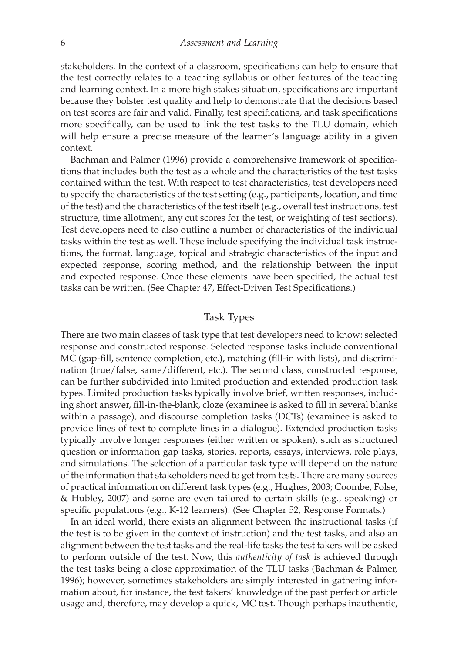stakeholders. In the context of a classroom, specifications can help to ensure that the test correctly relates to a teaching syllabus or other features of the teaching and learning context. In a more high stakes situation, specifications are important because they bolster test quality and help to demonstrate that the decisions based on test scores are fair and valid. Finally, test specifications, and task specifications more specifically, can be used to link the test tasks to the TLU domain, which will help ensure a precise measure of the learner's language ability in a given context.

Bachman and Palmer (1996) provide a comprehensive framework of specifications that includes both the test as a whole and the characteristics of the test tasks contained within the test. With respect to test characteristics, test developers need to specify the characteristics of the test setting (e.g., participants, location, and time of the test) and the characteristics of the test itself (e.g., overall test instructions, test structure, time allotment, any cut scores for the test, or weighting of test sections). Test developers need to also outline a number of characteristics of the individual tasks within the test as well. These include specifying the individual task instructions, the format, language, topical and strategic characteristics of the input and expected response, scoring method, and the relationship between the input and expected response. Once these elements have been specified, the actual test tasks can be written. (See Chapter 47, Effect-Driven Test Specifications.)

#### Task Types

There are two main classes of task type that test developers need to know: selected response and constructed response. Selected response tasks include conventional MC (gap-fill, sentence completion, etc.), matching (fill-in with lists), and discrimination (true/false, same/different, etc.). The second class, constructed response, can be further subdivided into limited production and extended production task types. Limited production tasks typically involve brief, written responses, including short answer, fill-in-the-blank, cloze (examinee is asked to fill in several blanks within a passage), and discourse completion tasks (DCTs) (examinee is asked to provide lines of text to complete lines in a dialogue). Extended production tasks typically involve longer responses (either written or spoken), such as structured question or information gap tasks, stories, reports, essays, interviews, role plays, and simulations. The selection of a particular task type will depend on the nature of the information that stakeholders need to get from tests. There are many sources of practical information on different task types (e.g., Hughes, 2003; Coombe, Folse, & Hubley, 2007) and some are even tailored to certain skills (e.g., speaking) or specific populations (e.g., K-12 learners). (See Chapter 52, Response Formats.)

In an ideal world, there exists an alignment between the instructional tasks (if the test is to be given in the context of instruction) and the test tasks, and also an alignment between the test tasks and the real-life tasks the test takers will be asked to perform outside of the test. Now, this *authenticity of task* is achieved through the test tasks being a close approximation of the TLU tasks (Bachman & Palmer, 1996); however, sometimes stakeholders are simply interested in gathering information about, for instance, the test takers' knowledge of the past perfect or article usage and, therefore, may develop a quick, MC test. Though perhaps inauthentic,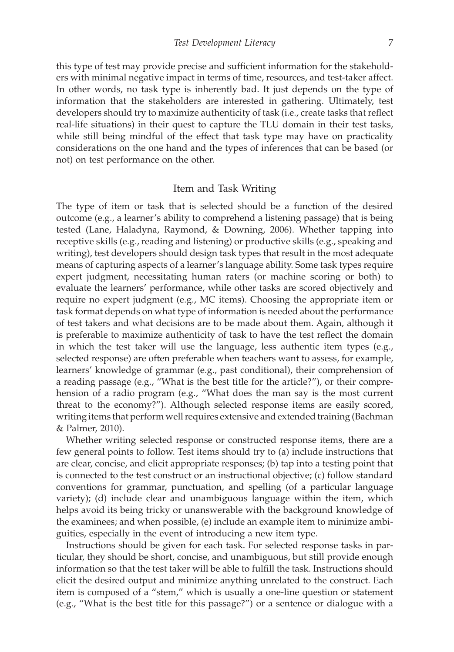this type of test may provide precise and sufficient information for the stakeholders with minimal negative impact in terms of time, resources, and test-taker affect. In other words, no task type is inherently bad. It just depends on the type of information that the stakeholders are interested in gathering. Ultimately, test developers should try to maximize authenticity of task (i.e., create tasks that reflect real-life situations) in their quest to capture the TLU domain in their test tasks, while still being mindful of the effect that task type may have on practicality considerations on the one hand and the types of inferences that can be based (or not) on test performance on the other.

#### Item and Task Writing

The type of item or task that is selected should be a function of the desired outcome (e.g., a learner's ability to comprehend a listening passage) that is being tested (Lane, Haladyna, Raymond, & Downing, 2006). Whether tapping into receptive skills (e.g., reading and listening) or productive skills (e.g., speaking and writing), test developers should design task types that result in the most adequate means of capturing aspects of a learner's language ability. Some task types require expert judgment, necessitating human raters (or machine scoring or both) to evaluate the learners' performance, while other tasks are scored objectively and require no expert judgment (e.g., MC items). Choosing the appropriate item or task format depends on what type of information is needed about the performance of test takers and what decisions are to be made about them. Again, although it is preferable to maximize authenticity of task to have the test reflect the domain in which the test taker will use the language, less authentic item types (e.g., selected response) are often preferable when teachers want to assess, for example, learners' knowledge of grammar (e.g., past conditional), their comprehension of a reading passage (e.g., "What is the best title for the article?"), or their comprehension of a radio program (e.g., "What does the man say is the most current threat to the economy?"). Although selected response items are easily scored, writing items that perform well requires extensive and extended training (Bachman & Palmer, 2010).

Whether writing selected response or constructed response items, there are a few general points to follow. Test items should try to (a) include instructions that are clear, concise, and elicit appropriate responses; (b) tap into a testing point that is connected to the test construct or an instructional objective; (c) follow standard conventions for grammar, punctuation, and spelling (of a particular language variety); (d) include clear and unambiguous language within the item, which helps avoid its being tricky or unanswerable with the background knowledge of the examinees; and when possible, (e) include an example item to minimize ambiguities, especially in the event of introducing a new item type.

Instructions should be given for each task. For selected response tasks in particular, they should be short, concise, and unambiguous, but still provide enough information so that the test taker will be able to fulfill the task. Instructions should elicit the desired output and minimize anything unrelated to the construct. Each item is composed of a "stem," which is usually a one-line question or statement (e.g., "What is the best title for this passage?") or a sentence or dialogue with a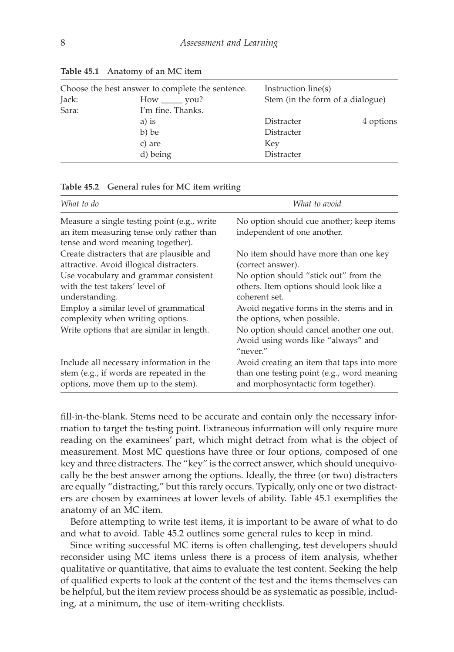| Choose the best answer to complete the sentence. |                   | Instruction line(s)              |           |  |
|--------------------------------------------------|-------------------|----------------------------------|-----------|--|
| Jack:                                            | $How __ you?$     | Stem (in the form of a dialogue) |           |  |
| Sara:                                            | I'm fine. Thanks. |                                  |           |  |
|                                                  | a) is             | Distracter                       | 4 options |  |
|                                                  | b) be             | Distracter                       |           |  |
|                                                  | c) are            | Key                              |           |  |
|                                                  | d) being          | Distracter                       |           |  |

**Table 45.1** Anatomy of an MC item

| Table 45.2 General rules for MC item writing |  |  |  |  |  |  |
|----------------------------------------------|--|--|--|--|--|--|
|----------------------------------------------|--|--|--|--|--|--|

| What to do                                                                                                                   | What to avoid                                                                               |
|------------------------------------------------------------------------------------------------------------------------------|---------------------------------------------------------------------------------------------|
| Measure a single testing point (e.g., write<br>an item measuring tense only rather than<br>tense and word meaning together). | No option should cue another; keep items<br>independent of one another.                     |
| Create distracters that are plausible and                                                                                    | No item should have more than one key                                                       |
| attractive. Avoid illogical distracters.                                                                                     | (correct answer).                                                                           |
| Use vocabulary and grammar consistent                                                                                        | No option should "stick out" from the                                                       |
| with the test takers' level of                                                                                               | others. Item options should look like a                                                     |
| understanding.                                                                                                               | coherent set.                                                                               |
| Employ a similar level of grammatical                                                                                        | Avoid negative forms in the stems and in                                                    |
| complexity when writing options.                                                                                             | the options, when possible.                                                                 |
| Write options that are similar in length.                                                                                    | No option should cancel another one out.<br>Avoid using words like "always" and<br>"never." |
| Include all necessary information in the                                                                                     | Avoid creating an item that taps into more                                                  |
| stem (e.g., if words are repeated in the                                                                                     | than one testing point (e.g., word meaning                                                  |
| options, move them up to the stem).                                                                                          | and morphosyntactic form together).                                                         |

fill-in-the-blank. Stems need to be accurate and contain only the necessary information to target the testing point. Extraneous information will only require more reading on the examinees' part, which might detract from what is the object of measurement. Most MC questions have three or four options, composed of one key and three distracters. The "key" is the correct answer, which should unequivocally be the best answer among the options. Ideally, the three (or two) distracters are equally "distracting," but this rarely occurs. Typically, only one or two distracters are chosen by examinees at lower levels of ability. Table 45.1 exemplifies the anatomy of an MC item.

Before attempting to write test items, it is important to be aware of what to do and what to avoid. Table 45.2 outlines some general rules to keep in mind.

Since writing successful MC items is often challenging, test developers should reconsider using MC items unless there is a process of item analysis, whether qualitative or quantitative, that aims to evaluate the test content. Seeking the help of qualified experts to look at the content of the test and the items themselves can be helpful, but the item review process should be as systematic as possible, including, at a minimum, the use of item-writing checklists.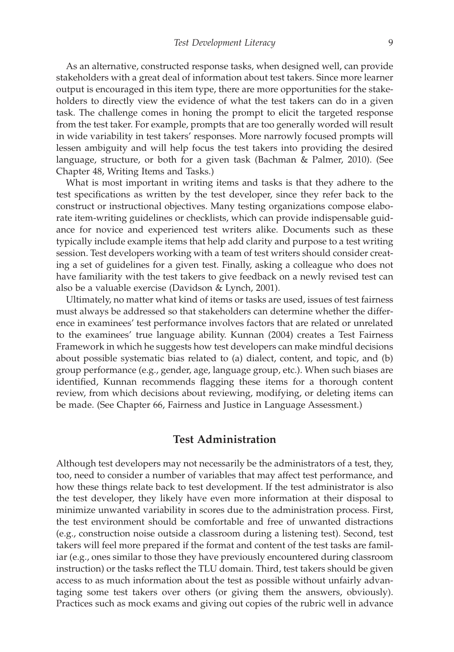As an alternative, constructed response tasks, when designed well, can provide stakeholders with a great deal of information about test takers. Since more learner output is encouraged in this item type, there are more opportunities for the stakeholders to directly view the evidence of what the test takers can do in a given task. The challenge comes in honing the prompt to elicit the targeted response from the test taker. For example, prompts that are too generally worded will result in wide variability in test takers' responses. More narrowly focused prompts will lessen ambiguity and will help focus the test takers into providing the desired language, structure, or both for a given task (Bachman & Palmer, 2010). (See Chapter 48, Writing Items and Tasks.)

What is most important in writing items and tasks is that they adhere to the test specifications as written by the test developer, since they refer back to the construct or instructional objectives. Many testing organizations compose elaborate item-writing guidelines or checklists, which can provide indispensable guidance for novice and experienced test writers alike. Documents such as these typically include example items that help add clarity and purpose to a test writing session. Test developers working with a team of test writers should consider creating a set of guidelines for a given test. Finally, asking a colleague who does not have familiarity with the test takers to give feedback on a newly revised test can also be a valuable exercise (Davidson & Lynch, 2001).

Ultimately, no matter what kind of items or tasks are used, issues of test fairness must always be addressed so that stakeholders can determine whether the difference in examinees' test performance involves factors that are related or unrelated to the examinees' true language ability. Kunnan (2004) creates a Test Fairness Framework in which he suggests how test developers can make mindful decisions about possible systematic bias related to (a) dialect, content, and topic, and (b) group performance (e.g., gender, age, language group, etc.). When such biases are identified, Kunnan recommends flagging these items for a thorough content review, from which decisions about reviewing, modifying, or deleting items can be made. (See Chapter 66, Fairness and Justice in Language Assessment.)

# **Test Administration**

Although test developers may not necessarily be the administrators of a test, they, too, need to consider a number of variables that may affect test performance, and how these things relate back to test development. If the test administrator is also the test developer, they likely have even more information at their disposal to minimize unwanted variability in scores due to the administration process. First, the test environment should be comfortable and free of unwanted distractions (e.g., construction noise outside a classroom during a listening test). Second, test takers will feel more prepared if the format and content of the test tasks are familiar (e.g., ones similar to those they have previously encountered during classroom instruction) or the tasks reflect the TLU domain. Third, test takers should be given access to as much information about the test as possible without unfairly advantaging some test takers over others (or giving them the answers, obviously). Practices such as mock exams and giving out copies of the rubric well in advance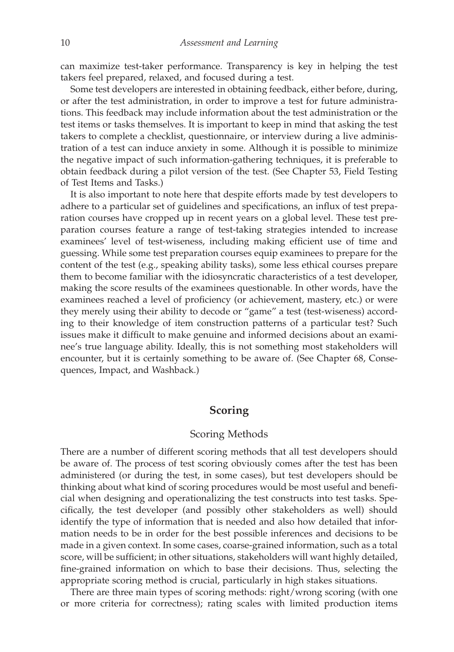can maximize test-taker performance. Transparency is key in helping the test takers feel prepared, relaxed, and focused during a test.

Some test developers are interested in obtaining feedback, either before, during, or after the test administration, in order to improve a test for future administrations. This feedback may include information about the test administration or the test items or tasks themselves. It is important to keep in mind that asking the test takers to complete a checklist, questionnaire, or interview during a live administration of a test can induce anxiety in some. Although it is possible to minimize the negative impact of such information-gathering techniques, it is preferable to obtain feedback during a pilot version of the test. (See Chapter 53, Field Testing of Test Items and Tasks.)

It is also important to note here that despite efforts made by test developers to adhere to a particular set of guidelines and specifications, an influx of test preparation courses have cropped up in recent years on a global level. These test preparation courses feature a range of test-taking strategies intended to increase examinees' level of test-wiseness, including making efficient use of time and guessing. While some test preparation courses equip examinees to prepare for the content of the test (e.g., speaking ability tasks), some less ethical courses prepare them to become familiar with the idiosyncratic characteristics of a test developer, making the score results of the examinees questionable. In other words, have the examinees reached a level of proficiency (or achievement, mastery, etc.) or were they merely using their ability to decode or "game" a test (test-wiseness) according to their knowledge of item construction patterns of a particular test? Such issues make it difficult to make genuine and informed decisions about an examinee's true language ability. Ideally, this is not something most stakeholders will encounter, but it is certainly something to be aware of. (See Chapter 68, Consequences, Impact, and Washback.)

# **Scoring**

#### Scoring Methods

There are a number of different scoring methods that all test developers should be aware of. The process of test scoring obviously comes after the test has been administered (or during the test, in some cases), but test developers should be thinking about what kind of scoring procedures would be most useful and beneficial when designing and operationalizing the test constructs into test tasks. Specifically, the test developer (and possibly other stakeholders as well) should identify the type of information that is needed and also how detailed that information needs to be in order for the best possible inferences and decisions to be made in a given context. In some cases, coarse-grained information, such as a total score, will be sufficient; in other situations, stakeholders will want highly detailed, fine-grained information on which to base their decisions. Thus, selecting the appropriate scoring method is crucial, particularly in high stakes situations.

There are three main types of scoring methods: right/wrong scoring (with one or more criteria for correctness); rating scales with limited production items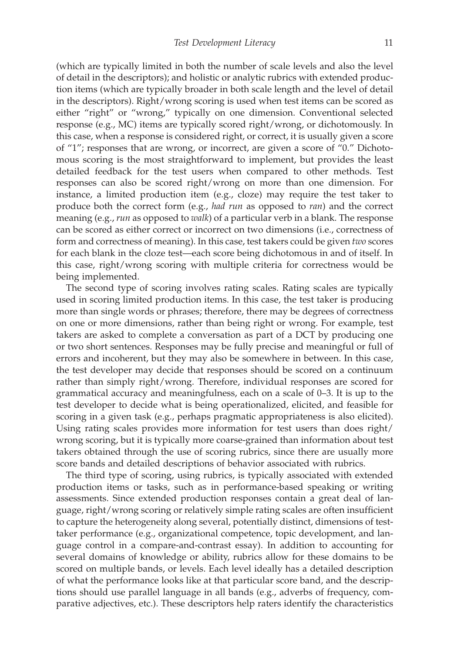(which are typically limited in both the number of scale levels and also the level of detail in the descriptors); and holistic or analytic rubrics with extended production items (which are typically broader in both scale length and the level of detail in the descriptors). Right/wrong scoring is used when test items can be scored as either "right" or "wrong," typically on one dimension. Conventional selected response (e.g., MC) items are typically scored right/wrong, or dichotomously. In this case, when a response is considered right, or correct, it is usually given a score of "1"; responses that are wrong, or incorrect, are given a score of "0." Dichotomous scoring is the most straightforward to implement, but provides the least detailed feedback for the test users when compared to other methods. Test responses can also be scored right/wrong on more than one dimension. For instance, a limited production item (e.g., cloze) may require the test taker to produce both the correct form (e.g., *had run* as opposed to *ran*) and the correct meaning (e.g., *run* as opposed to *walk*) of a particular verb in a blank. The response can be scored as either correct or incorrect on two dimensions (i.e., correctness of form and correctness of meaning). In this case, test takers could be given *two* scores for each blank in the cloze test—each score being dichotomous in and of itself. In this case, right/wrong scoring with multiple criteria for correctness would be being implemented.

The second type of scoring involves rating scales. Rating scales are typically used in scoring limited production items. In this case, the test taker is producing more than single words or phrases; therefore, there may be degrees of correctness on one or more dimensions, rather than being right or wrong. For example, test takers are asked to complete a conversation as part of a DCT by producing one or two short sentences. Responses may be fully precise and meaningful or full of errors and incoherent, but they may also be somewhere in between. In this case, the test developer may decide that responses should be scored on a continuum rather than simply right/wrong. Therefore, individual responses are scored for grammatical accuracy and meaningfulness, each on a scale of 0–3. It is up to the test developer to decide what is being operationalized, elicited, and feasible for scoring in a given task (e.g., perhaps pragmatic appropriateness is also elicited). Using rating scales provides more information for test users than does right/ wrong scoring, but it is typically more coarse-grained than information about test takers obtained through the use of scoring rubrics, since there are usually more score bands and detailed descriptions of behavior associated with rubrics.

The third type of scoring, using rubrics, is typically associated with extended production items or tasks, such as in performance-based speaking or writing assessments. Since extended production responses contain a great deal of language, right/wrong scoring or relatively simple rating scales are often insufficient to capture the heterogeneity along several, potentially distinct, dimensions of testtaker performance (e.g., organizational competence, topic development, and language control in a compare-and-contrast essay). In addition to accounting for several domains of knowledge or ability, rubrics allow for these domains to be scored on multiple bands, or levels. Each level ideally has a detailed description of what the performance looks like at that particular score band, and the descriptions should use parallel language in all bands (e.g., adverbs of frequency, comparative adjectives, etc.). These descriptors help raters identify the characteristics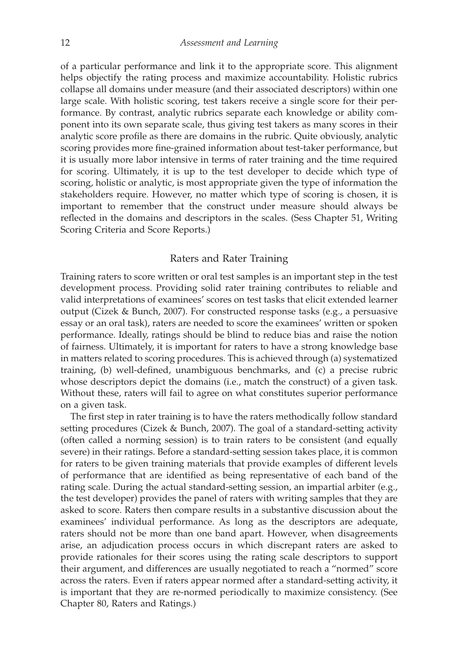of a particular performance and link it to the appropriate score. This alignment helps objectify the rating process and maximize accountability. Holistic rubrics collapse all domains under measure (and their associated descriptors) within one large scale. With holistic scoring, test takers receive a single score for their performance. By contrast, analytic rubrics separate each knowledge or ability component into its own separate scale, thus giving test takers as many scores in their analytic score profile as there are domains in the rubric. Quite obviously, analytic scoring provides more fine-grained information about test-taker performance, but it is usually more labor intensive in terms of rater training and the time required for scoring. Ultimately, it is up to the test developer to decide which type of scoring, holistic or analytic, is most appropriate given the type of information the stakeholders require. However, no matter which type of scoring is chosen, it is important to remember that the construct under measure should always be reflected in the domains and descriptors in the scales. (Sess Chapter 51, Writing Scoring Criteria and Score Reports.)

# Raters and Rater Training

Training raters to score written or oral test samples is an important step in the test development process. Providing solid rater training contributes to reliable and valid interpretations of examinees' scores on test tasks that elicit extended learner output (Cizek & Bunch, 2007). For constructed response tasks (e.g., a persuasive essay or an oral task), raters are needed to score the examinees' written or spoken performance. Ideally, ratings should be blind to reduce bias and raise the notion of fairness. Ultimately, it is important for raters to have a strong knowledge base in matters related to scoring procedures. This is achieved through (a) systematized training, (b) well-defined, unambiguous benchmarks, and (c) a precise rubric whose descriptors depict the domains (i.e., match the construct) of a given task. Without these, raters will fail to agree on what constitutes superior performance on a given task.

The first step in rater training is to have the raters methodically follow standard setting procedures (Cizek & Bunch, 2007). The goal of a standard-setting activity (often called a norming session) is to train raters to be consistent (and equally severe) in their ratings. Before a standard-setting session takes place, it is common for raters to be given training materials that provide examples of different levels of performance that are identified as being representative of each band of the rating scale. During the actual standard-setting session, an impartial arbiter (e.g., the test developer) provides the panel of raters with writing samples that they are asked to score. Raters then compare results in a substantive discussion about the examinees' individual performance. As long as the descriptors are adequate, raters should not be more than one band apart. However, when disagreements arise, an adjudication process occurs in which discrepant raters are asked to provide rationales for their scores using the rating scale descriptors to support their argument, and differences are usually negotiated to reach a "normed" score across the raters. Even if raters appear normed after a standard-setting activity, it is important that they are re-normed periodically to maximize consistency. (See Chapter 80, Raters and Ratings.)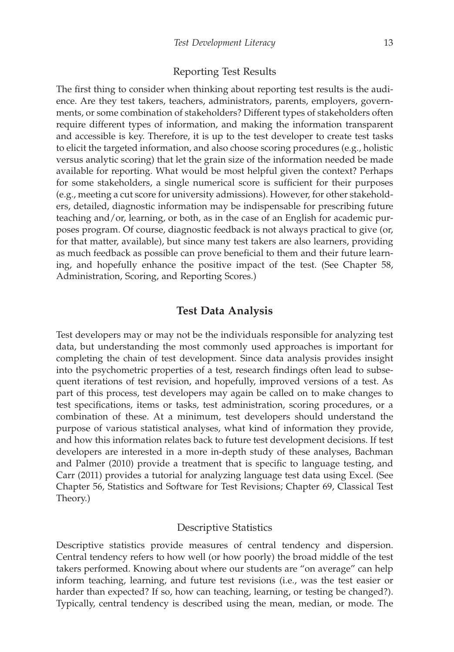#### Reporting Test Results

The first thing to consider when thinking about reporting test results is the audience. Are they test takers, teachers, administrators, parents, employers, governments, or some combination of stakeholders? Different types of stakeholders often require different types of information, and making the information transparent and accessible is key. Therefore, it is up to the test developer to create test tasks to elicit the targeted information, and also choose scoring procedures (e.g., holistic versus analytic scoring) that let the grain size of the information needed be made available for reporting. What would be most helpful given the context? Perhaps for some stakeholders, a single numerical score is sufficient for their purposes (e.g., meeting a cut score for university admissions). However, for other stakeholders, detailed, diagnostic information may be indispensable for prescribing future teaching and/or, learning, or both, as in the case of an English for academic purposes program. Of course, diagnostic feedback is not always practical to give (or, for that matter, available), but since many test takers are also learners, providing as much feedback as possible can prove beneficial to them and their future learning, and hopefully enhance the positive impact of the test. (See Chapter 58, Administration, Scoring, and Reporting Scores.)

# **Test Data Analysis**

Test developers may or may not be the individuals responsible for analyzing test data, but understanding the most commonly used approaches is important for completing the chain of test development. Since data analysis provides insight into the psychometric properties of a test, research findings often lead to subsequent iterations of test revision, and hopefully, improved versions of a test. As part of this process, test developers may again be called on to make changes to test specifications, items or tasks, test administration, scoring procedures, or a combination of these. At a minimum, test developers should understand the purpose of various statistical analyses, what kind of information they provide, and how this information relates back to future test development decisions. If test developers are interested in a more in-depth study of these analyses, Bachman and Palmer (2010) provide a treatment that is specific to language testing, and Carr (2011) provides a tutorial for analyzing language test data using Excel. (See Chapter 56, Statistics and Software for Test Revisions; Chapter 69, Classical Test Theory.)

# Descriptive Statistics

Descriptive statistics provide measures of central tendency and dispersion. Central tendency refers to how well (or how poorly) the broad middle of the test takers performed. Knowing about where our students are "on average" can help inform teaching, learning, and future test revisions (i.e., was the test easier or harder than expected? If so, how can teaching, learning, or testing be changed?). Typically, central tendency is described using the mean, median, or mode. The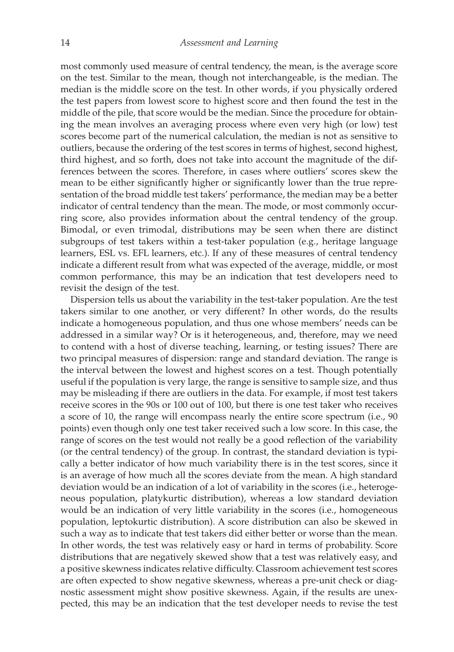most commonly used measure of central tendency, the mean, is the average score on the test. Similar to the mean, though not interchangeable, is the median. The median is the middle score on the test. In other words, if you physically ordered the test papers from lowest score to highest score and then found the test in the middle of the pile, that score would be the median. Since the procedure for obtaining the mean involves an averaging process where even very high (or low) test scores become part of the numerical calculation, the median is not as sensitive to outliers, because the ordering of the test scores in terms of highest, second highest, third highest, and so forth, does not take into account the magnitude of the differences between the scores. Therefore, in cases where outliers' scores skew the mean to be either significantly higher or significantly lower than the true representation of the broad middle test takers' performance, the median may be a better indicator of central tendency than the mean. The mode, or most commonly occurring score, also provides information about the central tendency of the group. Bimodal, or even trimodal, distributions may be seen when there are distinct subgroups of test takers within a test-taker population (e.g., heritage language learners, ESL vs. EFL learners, etc.). If any of these measures of central tendency indicate a different result from what was expected of the average, middle, or most common performance, this may be an indication that test developers need to revisit the design of the test.

Dispersion tells us about the variability in the test-taker population. Are the test takers similar to one another, or very different? In other words, do the results indicate a homogeneous population, and thus one whose members' needs can be addressed in a similar way? Or is it heterogeneous, and, therefore, may we need to contend with a host of diverse teaching, learning, or testing issues? There are two principal measures of dispersion: range and standard deviation. The range is the interval between the lowest and highest scores on a test. Though potentially useful if the population is very large, the range is sensitive to sample size, and thus may be misleading if there are outliers in the data. For example, if most test takers receive scores in the 90s or 100 out of 100, but there is one test taker who receives a score of 10, the range will encompass nearly the entire score spectrum (i.e., 90 points) even though only one test taker received such a low score. In this case, the range of scores on the test would not really be a good reflection of the variability (or the central tendency) of the group. In contrast, the standard deviation is typically a better indicator of how much variability there is in the test scores, since it is an average of how much all the scores deviate from the mean. A high standard deviation would be an indication of a lot of variability in the scores (i.e., heterogeneous population, platykurtic distribution), whereas a low standard deviation would be an indication of very little variability in the scores (i.e., homogeneous population, leptokurtic distribution). A score distribution can also be skewed in such a way as to indicate that test takers did either better or worse than the mean. In other words, the test was relatively easy or hard in terms of probability. Score distributions that are negatively skewed show that a test was relatively easy, and a positive skewness indicates relative difficulty. Classroom achievement test scores are often expected to show negative skewness, whereas a pre-unit check or diagnostic assessment might show positive skewness. Again, if the results are unexpected, this may be an indication that the test developer needs to revise the test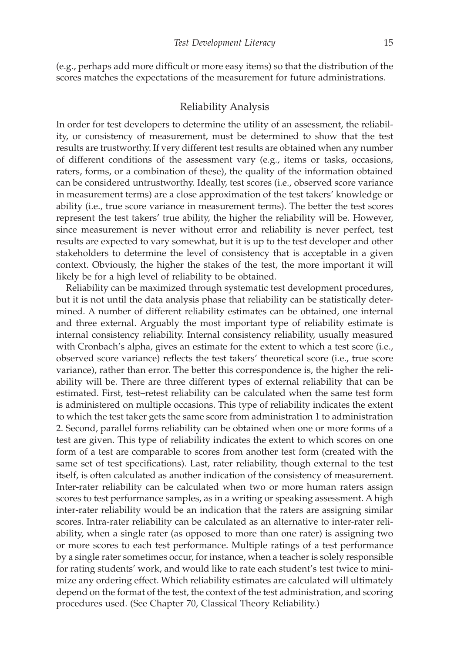(e.g., perhaps add more difficult or more easy items) so that the distribution of the scores matches the expectations of the measurement for future administrations.

#### Reliability Analysis

In order for test developers to determine the utility of an assessment, the reliability, or consistency of measurement, must be determined to show that the test results are trustworthy. If very different test results are obtained when any number of different conditions of the assessment vary (e.g., items or tasks, occasions, raters, forms, or a combination of these), the quality of the information obtained can be considered untrustworthy. Ideally, test scores (i.e., observed score variance in measurement terms) are a close approximation of the test takers' knowledge or ability (i.e., true score variance in measurement terms). The better the test scores represent the test takers' true ability, the higher the reliability will be. However, since measurement is never without error and reliability is never perfect, test results are expected to vary somewhat, but it is up to the test developer and other stakeholders to determine the level of consistency that is acceptable in a given context. Obviously, the higher the stakes of the test, the more important it will likely be for a high level of reliability to be obtained.

Reliability can be maximized through systematic test development procedures, but it is not until the data analysis phase that reliability can be statistically determined. A number of different reliability estimates can be obtained, one internal and three external. Arguably the most important type of reliability estimate is internal consistency reliability. Internal consistency reliability, usually measured with Cronbach's alpha, gives an estimate for the extent to which a test score (i.e., observed score variance) reflects the test takers' theoretical score (i.e., true score variance), rather than error. The better this correspondence is, the higher the reliability will be. There are three different types of external reliability that can be estimated. First, test–retest reliability can be calculated when the same test form is administered on multiple occasions. This type of reliability indicates the extent to which the test taker gets the same score from administration 1 to administration 2. Second, parallel forms reliability can be obtained when one or more forms of a test are given. This type of reliability indicates the extent to which scores on one form of a test are comparable to scores from another test form (created with the same set of test specifications). Last, rater reliability, though external to the test itself, is often calculated as another indication of the consistency of measurement. Inter-rater reliability can be calculated when two or more human raters assign scores to test performance samples, as in a writing or speaking assessment. A high inter-rater reliability would be an indication that the raters are assigning similar scores. Intra-rater reliability can be calculated as an alternative to inter-rater reliability, when a single rater (as opposed to more than one rater) is assigning two or more scores to each test performance. Multiple ratings of a test performance by a single rater sometimes occur, for instance, when a teacher is solely responsible for rating students' work, and would like to rate each student's test twice to minimize any ordering effect. Which reliability estimates are calculated will ultimately depend on the format of the test, the context of the test administration, and scoring procedures used. (See Chapter 70, Classical Theory Reliability.)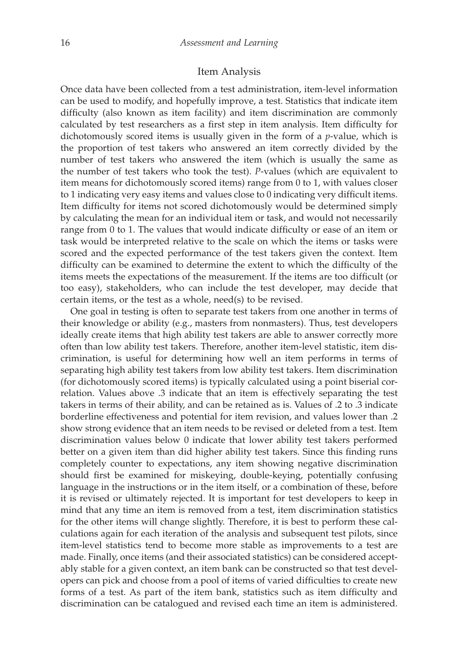## Item Analysis

Once data have been collected from a test administration, item-level information can be used to modify, and hopefully improve, a test. Statistics that indicate item difficulty (also known as item facility) and item discrimination are commonly calculated by test researchers as a first step in item analysis. Item difficulty for dichotomously scored items is usually given in the form of a *p*-value, which is the proportion of test takers who answered an item correctly divided by the number of test takers who answered the item (which is usually the same as the number of test takers who took the test). *P*-values (which are equivalent to item means for dichotomously scored items) range from 0 to 1, with values closer to 1 indicating very easy items and values close to 0 indicating very difficult items. Item difficulty for items not scored dichotomously would be determined simply by calculating the mean for an individual item or task, and would not necessarily range from 0 to 1. The values that would indicate difficulty or ease of an item or task would be interpreted relative to the scale on which the items or tasks were scored and the expected performance of the test takers given the context. Item difficulty can be examined to determine the extent to which the difficulty of the items meets the expectations of the measurement. If the items are too difficult (or too easy), stakeholders, who can include the test developer, may decide that certain items, or the test as a whole, need(s) to be revised.

One goal in testing is often to separate test takers from one another in terms of their knowledge or ability (e.g., masters from nonmasters). Thus, test developers ideally create items that high ability test takers are able to answer correctly more often than low ability test takers. Therefore, another item-level statistic, item discrimination, is useful for determining how well an item performs in terms of separating high ability test takers from low ability test takers. Item discrimination (for dichotomously scored items) is typically calculated using a point biserial correlation. Values above .3 indicate that an item is effectively separating the test takers in terms of their ability, and can be retained as is. Values of .2 to .3 indicate borderline effectiveness and potential for item revision, and values lower than .2 show strong evidence that an item needs to be revised or deleted from a test. Item discrimination values below 0 indicate that lower ability test takers performed better on a given item than did higher ability test takers. Since this finding runs completely counter to expectations, any item showing negative discrimination should first be examined for miskeying, double-keying, potentially confusing language in the instructions or in the item itself, or a combination of these, before it is revised or ultimately rejected. It is important for test developers to keep in mind that any time an item is removed from a test, item discrimination statistics for the other items will change slightly. Therefore, it is best to perform these calculations again for each iteration of the analysis and subsequent test pilots, since item-level statistics tend to become more stable as improvements to a test are made. Finally, once items (and their associated statistics) can be considered acceptably stable for a given context, an item bank can be constructed so that test developers can pick and choose from a pool of items of varied difficulties to create new forms of a test. As part of the item bank, statistics such as item difficulty and discrimination can be catalogued and revised each time an item is administered.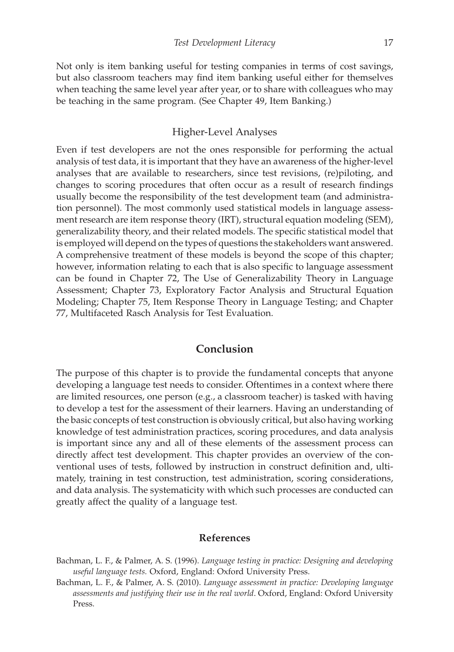Not only is item banking useful for testing companies in terms of cost savings, but also classroom teachers may find item banking useful either for themselves when teaching the same level year after year, or to share with colleagues who may be teaching in the same program. (See Chapter 49, Item Banking.)

# Higher-Level Analyses

Even if test developers are not the ones responsible for performing the actual analysis of test data, it is important that they have an awareness of the higher-level analyses that are available to researchers, since test revisions, (re)piloting, and changes to scoring procedures that often occur as a result of research findings usually become the responsibility of the test development team (and administration personnel). The most commonly used statistical models in language assessment research are item response theory (IRT), structural equation modeling (SEM), generalizability theory, and their related models. The specific statistical model that is employed will depend on the types of questions the stakeholders want answered. A comprehensive treatment of these models is beyond the scope of this chapter; however, information relating to each that is also specific to language assessment can be found in Chapter 72, The Use of Generalizability Theory in Language Assessment; Chapter 73, Exploratory Factor Analysis and Structural Equation Modeling; Chapter 75, Item Response Theory in Language Testing; and Chapter 77, Multifaceted Rasch Analysis for Test Evaluation.

# **Conclusion**

The purpose of this chapter is to provide the fundamental concepts that anyone developing a language test needs to consider. Oftentimes in a context where there are limited resources, one person (e.g., a classroom teacher) is tasked with having to develop a test for the assessment of their learners. Having an understanding of the basic concepts of test construction is obviously critical, but also having working knowledge of test administration practices, scoring procedures, and data analysis is important since any and all of these elements of the assessment process can directly affect test development. This chapter provides an overview of the conventional uses of tests, followed by instruction in construct definition and, ultimately, training in test construction, test administration, scoring considerations, and data analysis. The systematicity with which such processes are conducted can greatly affect the quality of a language test.

#### **References**

- Bachman, L. F., & Palmer, A. S. (1996). *Language testing in practice: Designing and developing useful language tests.* Oxford, England: Oxford University Press.
- Bachman, L. F., & Palmer, A. S. (2010). *Language assessment in practice: Developing language assessments and justifying their use in the real world*. Oxford, England: Oxford University Press.